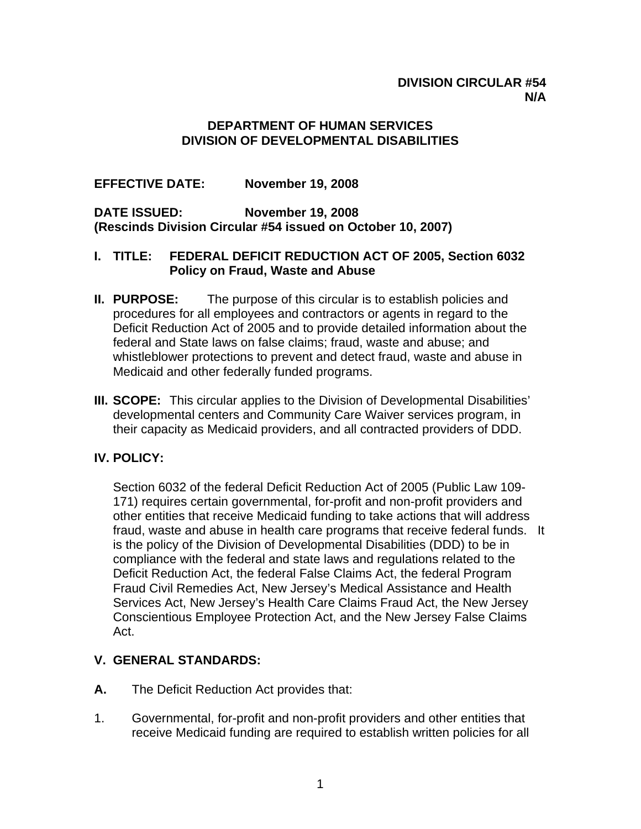#### **DIVISION CIRCULAR #54 N/A**

#### **DEPARTMENT OF HUMAN SERVICES DIVISION OF DEVELOPMENTAL DISABILITIES**

### **EFFECTIVE DATE: November 19, 2008**

**DATE ISSUED: November 19, 2008 (Rescinds Division Circular #54 issued on October 10, 2007)** 

#### **I. TITLE: FEDERAL DEFICIT REDUCTION ACT OF 2005, Section 6032 Policy on Fraud, Waste and Abuse**

- **II. PURPOSE:** The purpose of this circular is to establish policies and procedures for all employees and contractors or agents in regard to the Deficit Reduction Act of 2005 and to provide detailed information about the federal and State laws on false claims; fraud, waste and abuse; and whistleblower protections to prevent and detect fraud, waste and abuse in Medicaid and other federally funded programs.
- **III. SCOPE:** This circular applies to the Division of Developmental Disabilities' developmental centers and Community Care Waiver services program, in their capacity as Medicaid providers, and all contracted providers of DDD.

#### **IV. POLICY:**

Section 6032 of the federal Deficit Reduction Act of 2005 (Public Law 109- 171) requires certain governmental, for-profit and non-profit providers and other entities that receive Medicaid funding to take actions that will address fraud, waste and abuse in health care programs that receive federal funds. It is the policy of the Division of Developmental Disabilities (DDD) to be in compliance with the federal and state laws and regulations related to the Deficit Reduction Act, the federal False Claims Act, the federal Program Fraud Civil Remedies Act, New Jersey's Medical Assistance and Health Services Act, New Jersey's Health Care Claims Fraud Act, the New Jersey Conscientious Employee Protection Act, and the New Jersey False Claims Act.

#### **V. GENERAL STANDARDS:**

- **A.** The Deficit Reduction Act provides that:
- 1. Governmental, for-profit and non-profit providers and other entities that receive Medicaid funding are required to establish written policies for all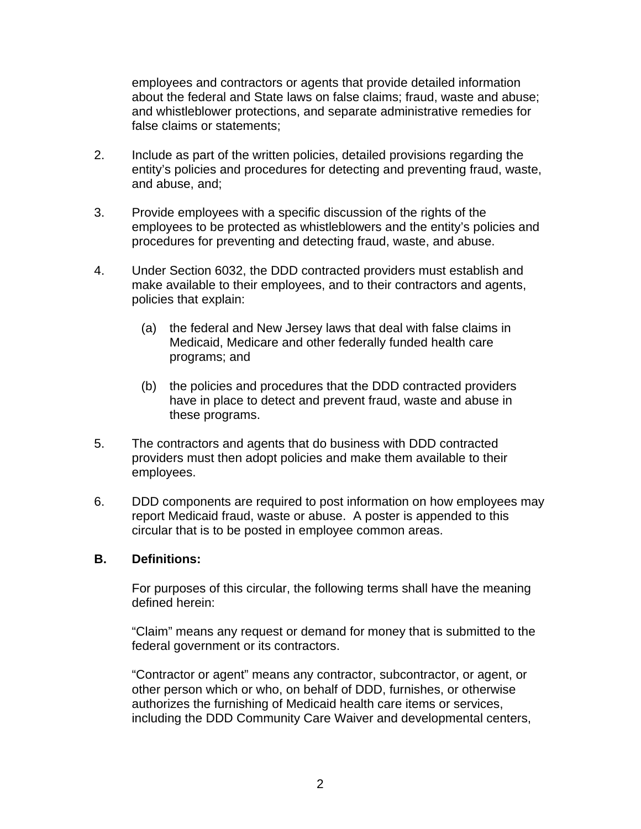employees and contractors or agents that provide detailed information about the federal and State laws on false claims; fraud, waste and abuse; and whistleblower protections, and separate administrative remedies for false claims or statements;

- 2. Include as part of the written policies, detailed provisions regarding the entity's policies and procedures for detecting and preventing fraud, waste, and abuse, and;
- 3. Provide employees with a specific discussion of the rights of the employees to be protected as whistleblowers and the entity's policies and procedures for preventing and detecting fraud, waste, and abuse.
- 4. Under Section 6032, the DDD contracted providers must establish and make available to their employees, and to their contractors and agents, policies that explain:
	- (a) the federal and New Jersey laws that deal with false claims in Medicaid, Medicare and other federally funded health care programs; and
	- (b) the policies and procedures that the DDD contracted providers have in place to detect and prevent fraud, waste and abuse in these programs.
- 5. The contractors and agents that do business with DDD contracted providers must then adopt policies and make them available to their employees.
- 6. DDD components are required to post information on how employees may report Medicaid fraud, waste or abuse. A poster is appended to this circular that is to be posted in employee common areas.

#### **B. Definitions:**

For purposes of this circular, the following terms shall have the meaning defined herein:

"Claim" means any request or demand for money that is submitted to the federal government or its contractors.

"Contractor or agent" means any contractor, subcontractor, or agent, or other person which or who, on behalf of DDD, furnishes, or otherwise authorizes the furnishing of Medicaid health care items or services, including the DDD Community Care Waiver and developmental centers,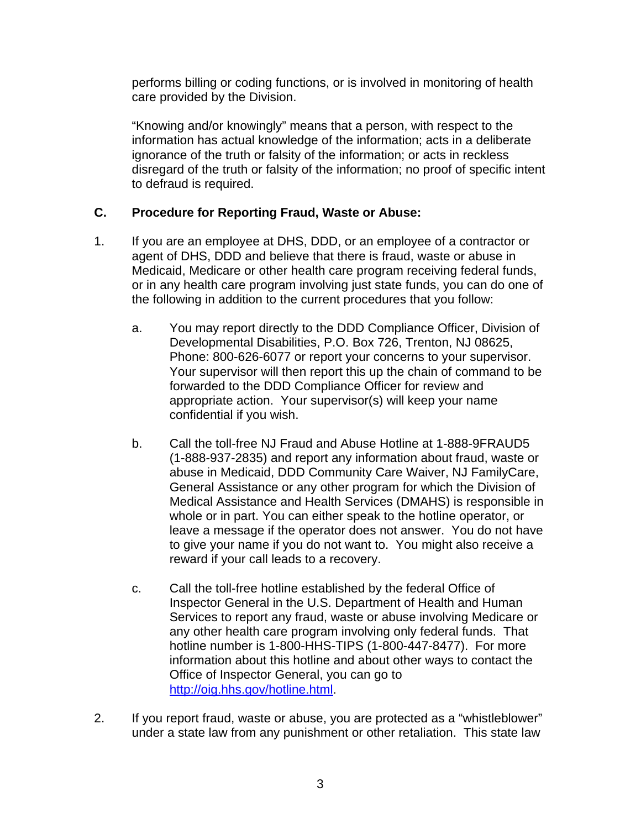performs billing or coding functions, or is involved in monitoring of health care provided by the Division.

"Knowing and/or knowingly" means that a person, with respect to the information has actual knowledge of the information; acts in a deliberate ignorance of the truth or falsity of the information; or acts in reckless disregard of the truth or falsity of the information; no proof of specific intent to defraud is required.

# **C. Procedure for Reporting Fraud, Waste or Abuse:**

- 1. If you are an employee at DHS, DDD, or an employee of a contractor or agent of DHS, DDD and believe that there is fraud, waste or abuse in Medicaid, Medicare or other health care program receiving federal funds, or in any health care program involving just state funds, you can do one of the following in addition to the current procedures that you follow:
	- a. You may report directly to the DDD Compliance Officer, Division of Developmental Disabilities, P.O. Box 726, Trenton, NJ 08625, Phone: 800-626-6077 or report your concerns to your supervisor. Your supervisor will then report this up the chain of command to be forwarded to the DDD Compliance Officer for review and appropriate action. Your supervisor(s) will keep your name confidential if you wish.
	- b. Call the toll-free NJ Fraud and Abuse Hotline at 1-888-9FRAUD5 (1-888-937-2835) and report any information about fraud, waste or abuse in Medicaid, DDD Community Care Waiver, NJ FamilyCare, General Assistance or any other program for which the Division of Medical Assistance and Health Services (DMAHS) is responsible in whole or in part. You can either speak to the hotline operator, or leave a message if the operator does not answer. You do not have to give your name if you do not want to. You might also receive a reward if your call leads to a recovery.
	- c. Call the toll-free hotline established by the federal Office of Inspector General in the U.S. Department of Health and Human Services to report any fraud, waste or abuse involving Medicare or any other health care program involving only federal funds. That hotline number is 1-800-HHS-TIPS (1-800-447-8477). For more information about this hotline and about other ways to contact the Office of Inspector General, you can go to <http://oig.hhs.gov/hotline.html>.
- 2. If you report fraud, waste or abuse, you are protected as a "whistleblower" under a state law from any punishment or other retaliation. This state law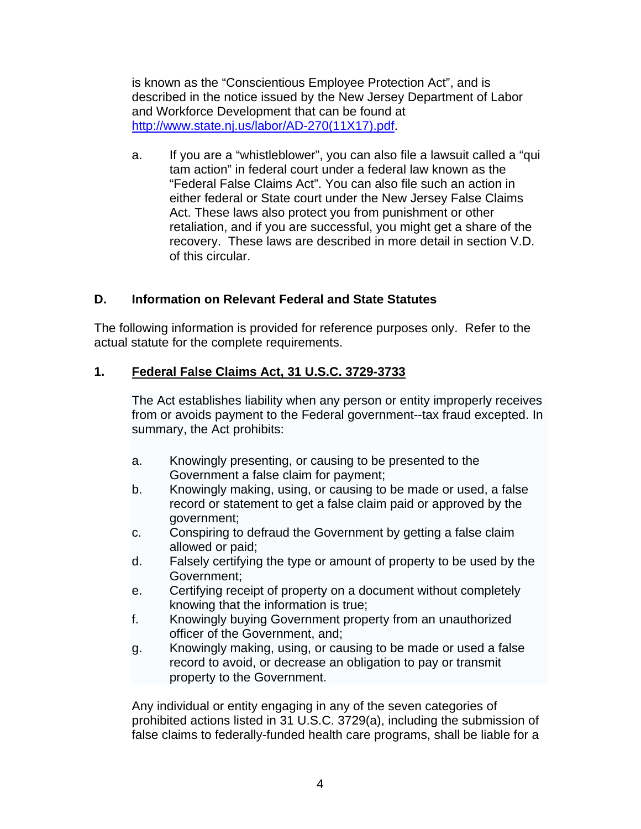is known as the "Conscientious Employee Protection Act", and is described in the notice issued by the New Jersey Department of Labor and Workforce Development that can be found at [http://www.state.nj.us/labor/AD-270\(11X17\).pdf.](http://www.state.nj.us/labor/AD-270(11X17).pdf)

a. If you are a "whistleblower", you can also file a lawsuit called a "qui tam action" in federal court under a federal law known as the "Federal False Claims Act". You can also file such an action in either federal or State court under the New Jersey False Claims Act. These laws also protect you from punishment or other retaliation, and if you are successful, you might get a share of the recovery. These laws are described in more detail in section V.D. of this circular.

# **D. Information on Relevant Federal and State Statutes**

The following information is provided for reference purposes only. Refer to the actual statute for the complete requirements.

#### **1. Federal False Claims Act, 31 U.S.C. 3729-3733**

The Act establishes liability when any person or entity improperly receives from or avoids payment to the Federal government--tax fraud excepted. In summary, the Act prohibits:

- a. Knowingly presenting, or causing to be presented to the Government a false claim for payment;
- b. Knowingly making, using, or causing to be made or used, a false record or statement to get a false claim paid or approved by the government;
- c. Conspiring to defraud the Government by getting a false claim allowed or paid;
- d. Falsely certifying the type or amount of property to be used by the Government;
- e. Certifying receipt of property on a document without completely knowing that the information is true;
- f. Knowingly buying Government property from an unauthorized officer of the Government, and;
- g. Knowingly making, using, or causing to be made or used a false record to avoid, or decrease an obligation to pay or transmit property to the Government.

Any individual or entity engaging in any of the seven categories of prohibited actions listed in 31 U.S.C. 3729(a), including the submission of false claims to federally-funded health care programs, shall be liable for a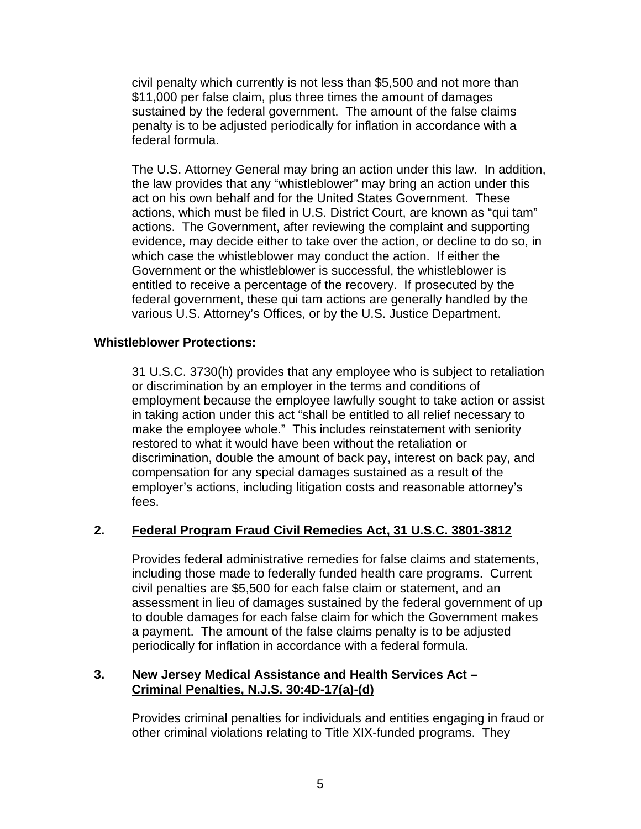civil penalty which currently is not less than \$5,500 and not more than \$11,000 per false claim, plus three times the amount of damages sustained by the federal government. The amount of the false claims penalty is to be adjusted periodically for inflation in accordance with a federal formula.

The U.S. Attorney General may bring an action under this law. In addition, the law provides that any "whistleblower" may bring an action under this act on his own behalf and for the United States Government. These actions, which must be filed in U.S. District Court, are known as "qui tam" actions. The Government, after reviewing the complaint and supporting evidence, may decide either to take over the action, or decline to do so, in which case the whistleblower may conduct the action. If either the Government or the whistleblower is successful, the whistleblower is entitled to receive a percentage of the recovery. If prosecuted by the federal government, these qui tam actions are generally handled by the various U.S. Attorney's Offices, or by the U.S. Justice Department.

#### **Whistleblower Protections:**

31 U.S.C. 3730(h) provides that any employee who is subject to retaliation or discrimination by an employer in the terms and conditions of employment because the employee lawfully sought to take action or assist in taking action under this act "shall be entitled to all relief necessary to make the employee whole." This includes reinstatement with seniority restored to what it would have been without the retaliation or discrimination, double the amount of back pay, interest on back pay, and compensation for any special damages sustained as a result of the employer's actions, including litigation costs and reasonable attorney's fees.

#### **2. Federal Program Fraud Civil Remedies Act, 31 U.S.C. 3801-3812**

Provides federal administrative remedies for false claims and statements, including those made to federally funded health care programs. Current civil penalties are \$5,500 for each false claim or statement, and an assessment in lieu of damages sustained by the federal government of up to double damages for each false claim for which the Government makes a payment. The amount of the false claims penalty is to be adjusted periodically for inflation in accordance with a federal formula.

#### **3. New Jersey Medical Assistance and Health Services Act – Criminal Penalties, N.J.S. 30:4D-17(a)-(d)**

Provides criminal penalties for individuals and entities engaging in fraud or other criminal violations relating to Title XIX-funded programs. They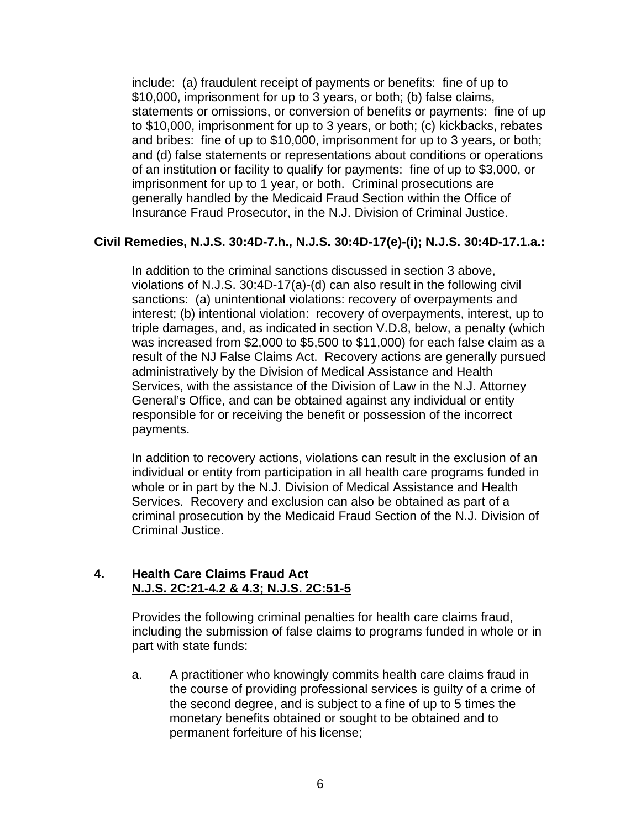include: (a) fraudulent receipt of payments or benefits: fine of up to \$10,000, imprisonment for up to 3 years, or both; (b) false claims, statements or omissions, or conversion of benefits or payments: fine of up to \$10,000, imprisonment for up to 3 years, or both; (c) kickbacks, rebates and bribes: fine of up to \$10,000, imprisonment for up to 3 years, or both; and (d) false statements or representations about conditions or operations of an institution or facility to qualify for payments: fine of up to \$3,000, or imprisonment for up to 1 year, or both. Criminal prosecutions are generally handled by the Medicaid Fraud Section within the Office of Insurance Fraud Prosecutor, in the N.J. Division of Criminal Justice.

#### **Civil Remedies, N.J.S. 30:4D-7.h., N.J.S. 30:4D-17(e)-(i); N.J.S. 30:4D-17.1.a.:**

In addition to the criminal sanctions discussed in section 3 above, violations of N.J.S. 30:4D-17(a)-(d) can also result in the following civil sanctions: (a) unintentional violations: recovery of overpayments and interest; (b) intentional violation: recovery of overpayments, interest, up to triple damages, and, as indicated in section V.D.8, below, a penalty (which was increased from \$2,000 to \$5,500 to \$11,000) for each false claim as a result of the NJ False Claims Act. Recovery actions are generally pursued administratively by the Division of Medical Assistance and Health Services, with the assistance of the Division of Law in the N.J. Attorney General's Office, and can be obtained against any individual or entity responsible for or receiving the benefit or possession of the incorrect payments.

In addition to recovery actions, violations can result in the exclusion of an individual or entity from participation in all health care programs funded in whole or in part by the N.J. Division of Medical Assistance and Health Services. Recovery and exclusion can also be obtained as part of a criminal prosecution by the Medicaid Fraud Section of the N.J. Division of Criminal Justice.

#### **4. Health Care Claims Fraud Act N.J.S. 2C:21-4.2 & 4.3; N.J.S. 2C:51-5**

Provides the following criminal penalties for health care claims fraud, including the submission of false claims to programs funded in whole or in part with state funds:

a. A practitioner who knowingly commits health care claims fraud in the course of providing professional services is guilty of a crime of the second degree, and is subject to a fine of up to 5 times the monetary benefits obtained or sought to be obtained and to permanent forfeiture of his license;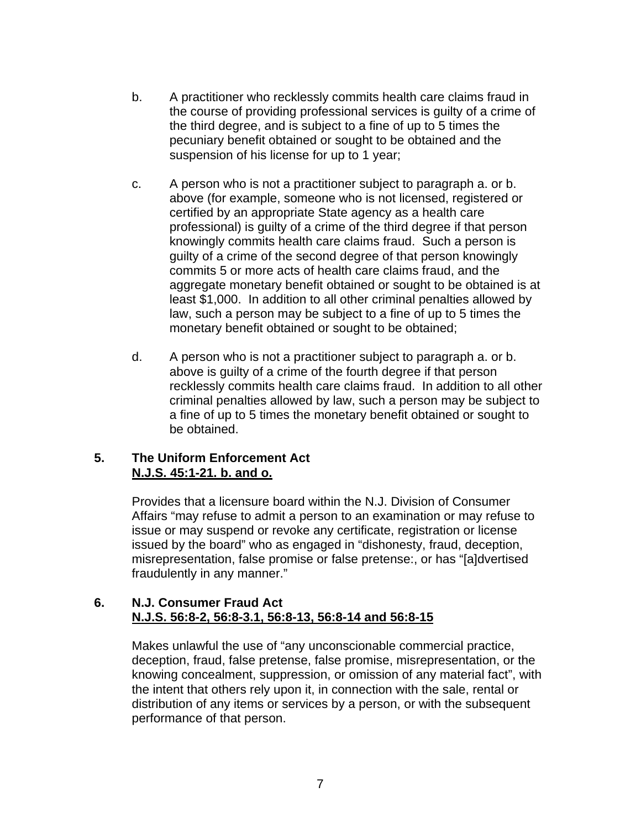- b. A practitioner who recklessly commits health care claims fraud in the course of providing professional services is guilty of a crime of the third degree, and is subject to a fine of up to 5 times the pecuniary benefit obtained or sought to be obtained and the suspension of his license for up to 1 year;
- c. A person who is not a practitioner subject to paragraph a. or b. above (for example, someone who is not licensed, registered or certified by an appropriate State agency as a health care professional) is guilty of a crime of the third degree if that person knowingly commits health care claims fraud. Such a person is guilty of a crime of the second degree of that person knowingly commits 5 or more acts of health care claims fraud, and the aggregate monetary benefit obtained or sought to be obtained is at least \$1,000. In addition to all other criminal penalties allowed by law, such a person may be subject to a fine of up to 5 times the monetary benefit obtained or sought to be obtained;
- d. A person who is not a practitioner subject to paragraph a. or b. above is guilty of a crime of the fourth degree if that person recklessly commits health care claims fraud. In addition to all other criminal penalties allowed by law, such a person may be subject to a fine of up to 5 times the monetary benefit obtained or sought to be obtained.

# **5. The Uniform Enforcement Act N.J.S. 45:1-21. b. and o.**

Provides that a licensure board within the N.J. Division of Consumer Affairs "may refuse to admit a person to an examination or may refuse to issue or may suspend or revoke any certificate, registration or license issued by the board" who as engaged in "dishonesty, fraud, deception, misrepresentation, false promise or false pretense:, or has "[a]dvertised fraudulently in any manner."

#### **6. N.J. Consumer Fraud Act N.J.S. 56:8-2, 56:8-3.1, 56:8-13, 56:8-14 and 56:8-15**

Makes unlawful the use of "any unconscionable commercial practice, deception, fraud, false pretense, false promise, misrepresentation, or the knowing concealment, suppression, or omission of any material fact", with the intent that others rely upon it, in connection with the sale, rental or distribution of any items or services by a person, or with the subsequent performance of that person.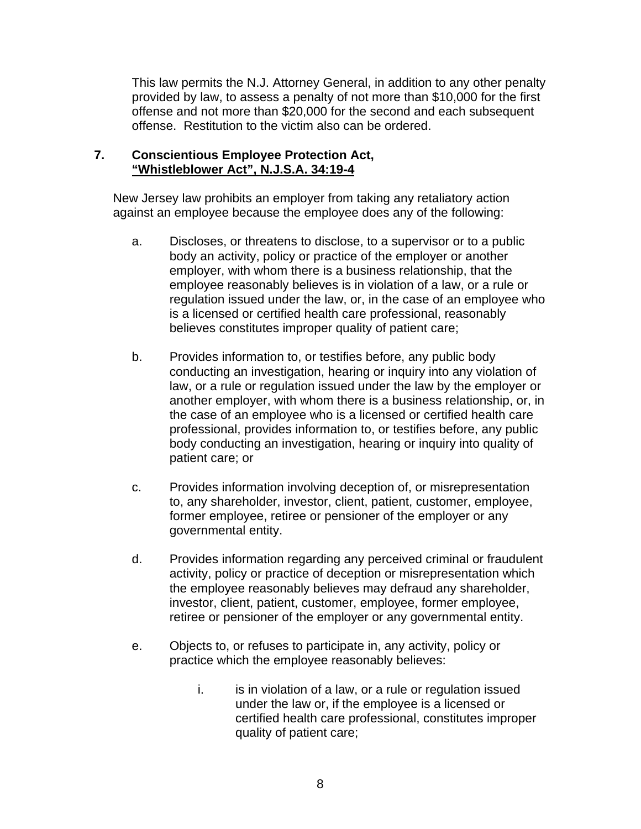This law permits the N.J. Attorney General, in addition to any other penalty provided by law, to assess a penalty of not more than \$10,000 for the first offense and not more than \$20,000 for the second and each subsequent offense. Restitution to the victim also can be ordered.

#### **7. Conscientious Employee Protection Act, "Whistleblower Act", N.J.S.A. 34:19-4**

New Jersey law prohibits an employer from taking any retaliatory action against an employee because the employee does any of the following:

- a. Discloses, or threatens to disclose, to a supervisor or to a public body an activity, policy or practice of the employer or another employer, with whom there is a business relationship, that the employee reasonably believes is in violation of a law, or a rule or regulation issued under the law, or, in the case of an employee who is a licensed or certified health care professional, reasonably believes constitutes improper quality of patient care;
- b. Provides information to, or testifies before, any public body conducting an investigation, hearing or inquiry into any violation of law, or a rule or regulation issued under the law by the employer or another employer, with whom there is a business relationship, or, in the case of an employee who is a licensed or certified health care professional, provides information to, or testifies before, any public body conducting an investigation, hearing or inquiry into quality of patient care; or
- c. Provides information involving deception of, or misrepresentation to, any shareholder, investor, client, patient, customer, employee, former employee, retiree or pensioner of the employer or any governmental entity.
- d. Provides information regarding any perceived criminal or fraudulent activity, policy or practice of deception or misrepresentation which the employee reasonably believes may defraud any shareholder, investor, client, patient, customer, employee, former employee, retiree or pensioner of the employer or any governmental entity.
- e. Objects to, or refuses to participate in, any activity, policy or practice which the employee reasonably believes:
	- i. is in violation of a law, or a rule or regulation issued under the law or, if the employee is a licensed or certified health care professional, constitutes improper quality of patient care;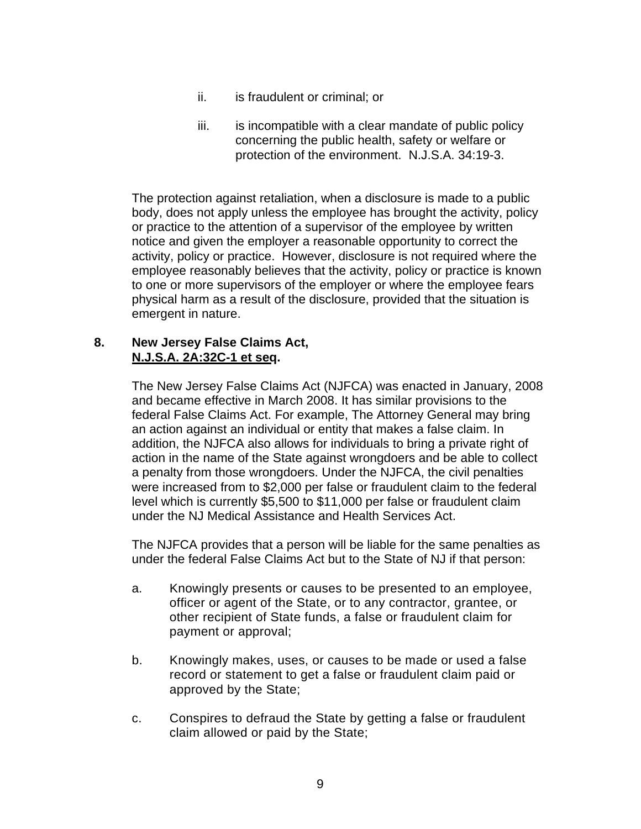- ii. is fraudulent or criminal; or
- iii. is incompatible with a clear mandate of public policy concerning the public health, safety or welfare or protection of the environment. N.J.S.A. 34:19-3.

The protection against retaliation, when a disclosure is made to a public body, does not apply unless the employee has brought the activity, policy or practice to the attention of a supervisor of the employee by written notice and given the employer a reasonable opportunity to correct the activity, policy or practice. However, disclosure is not required where the employee reasonably believes that the activity, policy or practice is known to one or more supervisors of the employer or where the employee fears physical harm as a result of the disclosure, provided that the situation is emergent in nature.

#### **8. New Jersey False Claims Act, N.J.S.A. 2A:32C-1 et seq.**

The New Jersey False Claims Act (NJFCA) was enacted in January, 2008 and became effective in March 2008. It has similar provisions to the federal False Claims Act. For example, The Attorney General may bring an action against an individual or entity that makes a false claim. In addition, the NJFCA also allows for individuals to bring a private right of action in the name of the State against wrongdoers and be able to collect a penalty from those wrongdoers. Under the NJFCA, the civil penalties were increased from to \$2,000 per false or fraudulent claim to the federal level which is currently \$5,500 to \$11,000 per false or fraudulent claim under the NJ Medical Assistance and Health Services Act.

The NJFCA provides that a person will be liable for the same penalties as under the federal False Claims Act but to the State of NJ if that person:

- a. Knowingly presents or causes to be presented to an employee, officer or agent of the State, or to any contractor, grantee, or other recipient of State funds, a false or fraudulent claim for payment or approval;
- b. Knowingly makes, uses, or causes to be made or used a false record or statement to get a false or fraudulent claim paid or approved by the State;
- c. Conspires to defraud the State by getting a false or fraudulent claim allowed or paid by the State;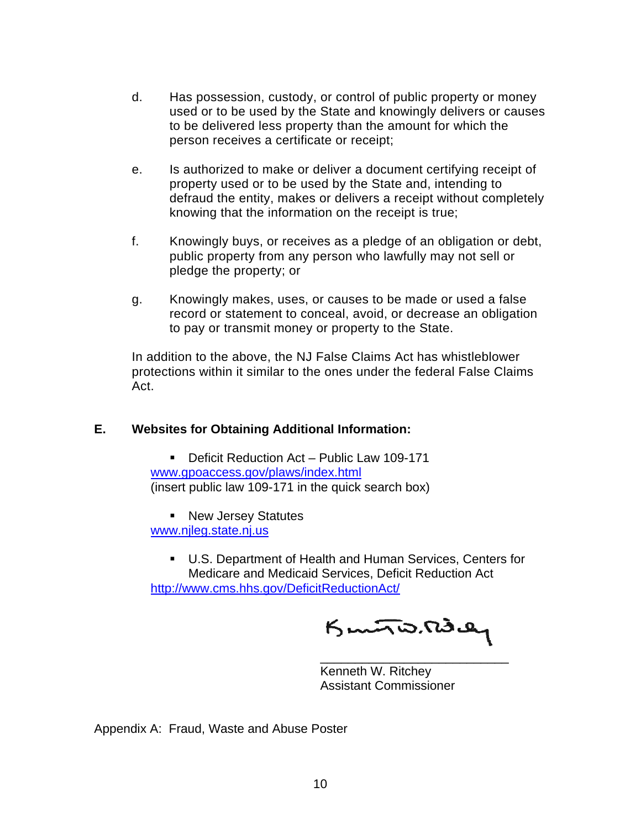- d. Has possession, custody, or control of public property or money used or to be used by the State and knowingly delivers or causes to be delivered less property than the amount for which the person receives a certificate or receipt;
- e. Is authorized to make or deliver a document certifying receipt of property used or to be used by the State and, intending to defraud the entity, makes or delivers a receipt without completely knowing that the information on the receipt is true;
- f. Knowingly buys, or receives as a pledge of an obligation or debt, public property from any person who lawfully may not sell or pledge the property; or
- g. Knowingly makes, uses, or causes to be made or used a false record or statement to conceal, avoid, or decrease an obligation to pay or transmit money or property to the State.

In addition to the above, the NJ False Claims Act has whistleblower protections within it similar to the ones under the federal False Claims Act.

# **E. Websites for Obtaining Additional Information:**

 Deficit Reduction Act – Public Law 109-171 [www.gpoaccess.gov/plaws/index.html](http://www.gpoaccess.gov/plaws/index.html) (insert public law 109-171 in the quick search box)

**New Jersey Statutes** [www.njleg.state.nj.us](http://www.njleg.state.nj.us/)

 U.S. Department of Health and Human Services, Centers for Medicare and Medicaid Services, Deficit Reduction Act <http://www.cms.hhs.gov/DeficitReductionAct/>

Kunto. Robey

Kenneth W. Ritchey Assistant Commissioner

Appendix A: Fraud, Waste and Abuse Poster

 $\frac{1}{2}$  , and the contract of the contract of the contract of the contract of the contract of the contract of the contract of the contract of the contract of the contract of the contract of the contract of the contract